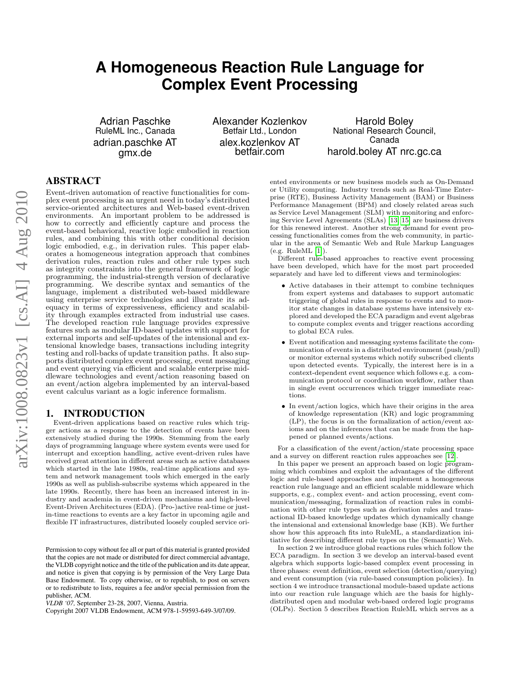# **A Homogeneous Reaction Rule Language for Complex Event Processing**

Adrian Paschke RuleML Inc., Canada adrian.paschke AT gmx.de

Alexander Kozlenkov Betfair Ltd., London alex.kozlenkov AT betfair.com

Harold Boley National Research Council, Canada harold.boley AT nrc.gc.ca

### ABSTRACT

Event-driven automation of reactive functionalities for complex event processing is an urgent need in today's distributed service-oriented architectures and Web-based event-driven environments. An important problem to be addressed is how to correctly and efficiently capture and process the event-based behavioral, reactive logic embodied in reaction rules, and combining this with other conditional decision logic embodied, e.g., in derivation rules. This paper elaborates a homogeneous integration approach that combines derivation rules, reaction rules and other rule types such as integrity constraints into the general framework of logic programming, the industrial-strength version of declarative programming. We describe syntax and semantics of the language, implement a distributed web-based middleware using enterprise service technologies and illustrate its adequacy in terms of expressiveness, efficiency and scalability through examples extracted from industrial use cases. The developed reaction rule language provides expressive features such as modular ID-based updates with support for external imports and self-updates of the intensional and extensional knowledge bases, transactions including integrity testing and roll-backs of update transition paths. It also supports distributed complex event processing, event messaging and event querying via efficient and scalable enterprise middleware technologies and event/action reasoning based on an event/action algebra implemented by an interval-based event calculus variant as a logic inference formalism.

### 1. INTRODUCTION

Event-driven applications based on reactive rules which trigger actions as a response to the detection of events have been extensively studied during the 1990s. Stemming from the early days of programming language where system events were used for interrupt and exception handling, active event-driven rules have received great attention in different areas such as active databases which started in the late 1980s, real-time applications and system and network management tools which emerged in the early 1990s as well as publish-subscribe systems which appeared in the late 1990s. Recently, there has been an increased interest in industry and academia in event-driven mechanisms and high-level Event-Driven Architectures (EDA). (Pro-)active real-time or justin-time reactions to events are a key factor in upcoming agile and flexible IT infrastructures, distributed loosely coupled service ori-

Permission to copy without fee all or part of this material is granted provided that the copies are not made or distributed for direct commercial advantage, the VLDB copyright notice and the title of the publication and its date appear, and notice is given that copying is by permission of the Very Large Data Base Endowment. To copy otherwise, or to republish, to post on servers or to redistribute to lists, requires a fee and/or special permission from the publisher, ACM.

Copyright 2007 VLDB Endowment, ACM 978-1-59593-649-3/07/09.

ented environments or new business models such as On-Demand or Utility computing. Industry trends such as Real-Time Enterprise (RTE), Business Activity Management (BAM) or Business Performance Management (BPM) and closely related areas such as Service Level Management (SLM) with monitoring and enforcing Service Level Agreements (SLAs) [\[13,](#page-10-0) [15\]](#page-10-1) are business drivers for this renewed interest. Another strong demand for event processing functionalities comes from the web community, in particular in the area of Semantic Web and Rule Markup Languages (e.g. RuleML [\[1\]](#page-10-2)).

Different rule-based approaches to reactive event processing have been developed, which have for the most part proceeded separately and have led to different views and terminologies:

- Active databases in their attempt to combine techniques from expert systems and databases to support automatic triggering of global rules in response to events and to monitor state changes in database systems have intensively explored and developed the ECA paradigm and event algebras to compute complex events and trigger reactions according to global ECA rules.
- Event notification and messaging systems facilitate the communication of events in a distributed environment (push/pull) or monitor external systems which notify subscribed clients upon detected events. Typically, the interest here is in a context-dependent event sequence which follows e.g. a communication protocol or coordination workflow, rather than in single event occurrences which trigger immediate reactions.
- In event/action logics, which have their origins in the area of knowledge representation (KR) and logic programming (LP), the focus is on the formalization of action/event axioms and on the inferences that can be made from the happened or planned events/actions.

For a classification of the event/action/state processing space and a survey on different reaction rules approaches see [\[12\]](#page-10-3).

In this paper we present an approach based on logic programming which combines and exploit the advantages of the different logic and rule-based approaches and implement a homogeneous reaction rule language and an efficient scalable middleware which supports, e.g., complex event- and action processing, event communication/messaging, formalization of reaction rules in combination with other rule types such as derivation rules and transactional ID-based knowledge updates which dynamically change the intensional and extensional knowledge base (KB). We further show how this approach fits into RuleML, a standardization initiative for describing different rule types on the (Semantic) Web.

In section 2 we introduce global reactions rules which follow the ECA paradigm. In section 3 we develop an interval-based event algebra which supports logic-based complex event processing in three phases: event definition, event selection (detection/querying) and event consumption (via rule-based consumption policies). In section 4 we introduce transactional module-based update actions into our reaction rule language which are the basis for highlydistributed open and modular web-based ordered logic programs (OLPs). Section 5 describes Reaction RuleML which serves as a

*VLDB '07,* September 23-28, 2007, Vienna, Austria.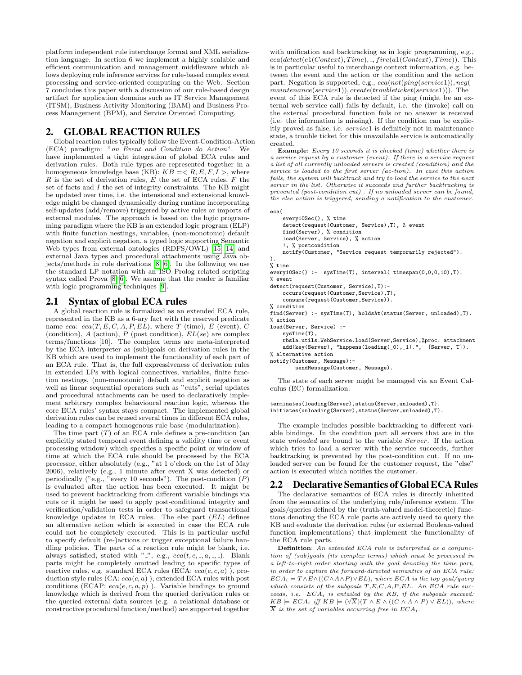platform independent rule interchange format and XML serialization language. In section 6 we implement a highly scalable and efficient communication and management middleware which allows deploying rule inference services for rule-based complex event processing and service-oriented computing on the Web. Section 7 concludes this paper with a discussion of our rule-based design artifact for application domains such as IT Service Management (ITSM), Business Activity Monitoring (BAM) and Business Process Management (BPM), and Service Oriented Computing.

### 2. GLOBAL REACTION RULES

Global reaction rules typically follow the Event-Condition-Action  $(ECA)$  paradigm: "on Event and Condition do Action". We have implemented a tight integration of global ECA rules and derivation rules. Both rule types are represented together in a homogeneous knowledge base (KB):  $KB = R, E, F, I >$ , where  $R$  is the set of derivation rules,  $E$  the set of ECA rules,  $F$  the set of facts and  $I$  the set of integrity constraints. The KB might be updated over time, i.e. the intensional and extensional knowledge might be changed dynamically during runtime incorporating self-updates (add/remove) triggered by active rules or imports of external modules. The approach is based on the logic programming paradigm where the KB is an extended logic program (ELP) with finite function nestings, variables, (non-monotonic) default negation and explicit negation, a typed logic supporting Semantic Web types from external ontologies (RDFS/OWL) [\[15,](#page-10-1) [14\]](#page-10-4) and external Java types and procedural attachments using Java objects/methods in rule derivations [\[8,](#page-10-5) [6\]](#page-10-6). In the following we use the standard LP notation with an ISO Prolog related scripting syntax called Prova [\[8,](#page-10-5) [6\]](#page-10-6). We assume that the reader is familiar with logic programming techniques [\[9\]](#page-10-7).

### 2.1 Syntax of global ECA rules

A global reaction rule is formalized as an extended ECA rule, represented in the KB as a 6-ary fact with the reserved predicate name eca:  $eca(T, E, C, A, P, EL)$ , where T (time), E (event), C (condition),  $A$  (action),  $P$  (post condition),  $EL(se)$  are complex terms/functions [10]. The complex terms are meta-interpreted by the ECA interpreter as (sub)goals on derivation rules in the KB which are used to implement the functionality of each part of an ECA rule. That is, the full expressiveness of derivation rules in extended LPs with logical connectives, variables, finite function nestings, (non-monotonic) default and explicit negation as well as linear sequential operators such as "cuts", serial updates and procedural attachments can be used to declaratively implement arbitrary complex behavioural reaction logic, whereas the core ECA rules' syntax stays compact. The implemented global derivation rules can be reused several times in different ECA rules, leading to a compact homogenous rule base (modularization).

The time part  $(T)$  of an ECA rule defines a pre-condition (an explicitly stated temporal event defining a validity time or event processing window) which specifies a specific point or window of time at which the ECA rule should be processed by the ECA processor, either absolutely (e.g., "at 1 o'clock on the 1st of May 2006), relatively (e.g., 1 minute after event X was detected) or periodically ("e.g., "every 10 seconds"). The post-condition  $(P)$ is evaluated after the action has been executed. It might be used to prevent backtracking from different variable bindings via cuts or it might be used to apply post-conditional integrity and verification/validation tests in order to safeguard transactional knowledge updates in ECA rules. The else part  $(EL)$  defines an alternative action which is executed in case the ECA rule could not be completely executed. This is in particular useful to specify default (re-)actions or trigger exceptional failure handling policies. The parts of a reaction rule might be blank, i.e. always satisfied, stated with " ", e.g.,  $eca(t, e, \_, a, \_, \_)$ . Blank parts might be completely omitted leading to specific types of reactive rules, e.g. standard ECA rules (ECA:  $eca(e, c, a)$ ), production style rules (CA:  $eca(c, a)$ ), extended ECA rules with post conditions (ECAP:  $eca(e, c, a, p)$ ). Variable bindings to ground knowledge which is derived from the queried derivation rules or the queried external data sources (e.g. a relational database or constructive procedural function/method) are supported together

with unification and backtracking as in logic programming, e.g.,  $eca(detect(e1(Context), Time), . , fire(a1(Context), Time)).$  This is in particular useful to interchange context information, e.g. between the event and the action or the condition and the action part. Negation is supported, e.g., eca(not(ping(service1)), neg(  $maintenance(serve1)), create(troubleticket(serve1))).$  The event of this ECA rule is detected if the ping (might be an external web service call) fails by default, i.e. the (invoke) call on the external procedural function fails or no answer is received (i.e. the information is missing). If the condition can be explicitly proved as false, i.e. service1 is definitely not in maintenance state, a trouble ticket for this unavailable service is automatically created.

Example: Every 10 seconds it is checked (time) whether there is a service request by a customer (event). If there is a service request a list of all currently unloaded servers is created (condition) and the service is loaded to the first server (ac-tion). In case this action fails, the system will backtrack and try to load the service to the next server in the list. Otherwise it succeeds and further backtracking is prevented (post-condition cut) . If no unloaded server can be found, the else action is triggered, sending a notification to the customer.

```
eca(
    every10Sec(), % time
    detect(request(Customer, Service),T), % event
    find(Server), % condition
```

```
load(Server, Service), % action
    !, % postcondition
   notify(Customer, "Service request temporarily rejected").
).
% time
every10Sec() :- sysTime(T), interval( timespan(0,0,0,10),T).
% event
detect(request(Customer, Service),T):-
   occurs(request(Customer,Service),T),
   consume(request(Customer,Service)).
% condition
find(Server) :- sysTime(T), holdsAt(status(Server, unloaded),T).
% action
load(Server, Service) :-
   sysTime(T),
    rbsla.utils.WebService.load(Server,Service),%proc. attachment
    add(key(Server), "happens(loading(_0),_1).", [Server, T]).
```
% alternative action

notify(Customer, Message): sendMessage(Customer, Message).

The state of each server might be managed via an Event Calculus (EC) formalization:

```
terminates(loading(Server),status(Server,unloaded),T).
initiates(unloading(Server),status(Server,unloaded),T).
```
The example includes possible backtracking to different variable bindings. In the condition part all servers that are in the state unloaded are bound to the variable Server. If the action which tries to load a server with the service succeeds, further backtracking is prevented by the post-condition cut. If no unloaded server can be found for the customer request, the "else" action is executed which notifies the customer.

### 2.2 Declarative Semantics of Global ECA Rules

The declarative semantics of ECA rules is directly inherited from the semantics of the underlying rule/inference system. The goals/queries defined by the (truth-valued model-theoretic) functions denoting the ECA rule parts are actively used to query the KB and evaluate the derivation rules (or external Boolean-valued function implementations) that implement the functionality of the ECA rule parts.

Definition: An extended ECA rule is interpreted as a conjunction of (sub)goals (its complex terms) which must be processed in a left-to-right order starting with the goal denoting the time part, in order to capture the forward-directed semantics of an ECA rule:  $ECA_i = T \wedge E \wedge ((C \wedge A \wedge P) \vee EL)$ , where ECA is the top goal/query which consists of the subgoals  $T, E, C, A, P, EL$ . An ECA rule succeeds, i.e.  $ECA_i$  is entailed by the KB, if the subgoals succeed:  $KB \models ECA_i \iff KB \models (\forall X)(T \land E \land ((C \land A \land P) \lor EL)),$  where  $\overline{X}$  is the set of variables occurring free in ECA<sub>i</sub>.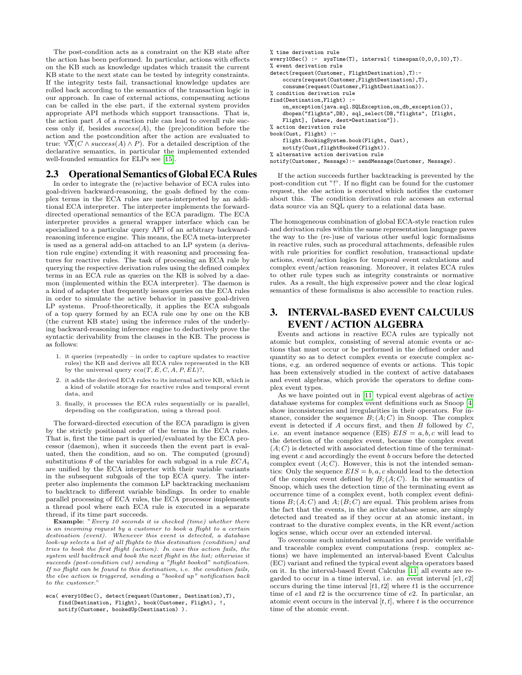The post-condition acts as a constraint on the KB state after the action has been performed. In particular, actions with effects on the KB such as knowledge updates which transit the current KB state to the next state can be tested by integrity constraints. If the integrity tests fail, transactional knowledge updates are rolled back according to the semantics of the transaction logic in our approach. In case of external actions, compensating actions can be called in the else part, if the external system provides appropriate API methods which support transactions. That is, the action part A of a reaction rule can lead to overall rule success only if, besides  $success(A)$ , the (pre)condition before the action and the postcondition after the action are evaluated to true:  $\forall \overline{X}(C \wedge success(A) \wedge P)$ . For a detailed description of the declarative semantics, in particular the implemented extended well-founded semantics for ELPs see [\[15\]](#page-10-1).

### 2.3 Operational Semantics of Global ECA Rules

In order to integrate the (re)active behavior of ECA rules into goal-driven backward-reasoning, the goals defined by the complex terms in the ECA rules are meta-interpreted by an additional ECA interpreter. The interpreter implements the forwarddirected operational semantics of the ECA paradigm. The ECA interpreter provides a general wrapper interface which can be specialized to a particular query API of an arbitrary backwardreasoning inference engine. This means, the ECA meta-interpreter is used as a general add-on attached to an LP system (a derivation rule engine) extending it with reasoning and processing features for reactive rules. The task of processing an ECA rule by querying the respective derivation rules using the defined complex terms in an ECA rule as queries on the KB is solved by a daemon (implemented within the ECA interpreter). The daemon is a kind of adapter that frequently issues queries on the ECA rules in order to simulate the active behavior in passive goal-driven LP systems. Proof-theoretically, it applies the ECA subgoals of a top query formed by an ECA rule one by one on the KB (the current KB state) using the inference rules of the underlying backward-reasoning inference engine to deductively prove the syntactic derivability from the clauses in the KB. The process is as follows:

- 1. it queries (repeatedly in order to capture updates to reactive rules) the KB and derives all ECA rules represented in the KB by the universal query  $eca(T, E, C, A, P, EL)$ ?,
- 2. it adds the derived ECA rules to its internal active KB, which is a kind of volatile storage for reactive rules and temporal event data, and
- 3. finally, it processes the ECA rules sequentially or in parallel, depending on the configuration, using a thread pool.

The forward-directed execution of the ECA paradigm is given by the strictly positional order of the terms in the ECA rules. That is, first the time part is queried/evaluated by the ECA processor (daemon), when it succeeds then the event part is evaluated, then the condition, and so on. The computed (ground) substitutions  $\theta$  of the variables for each subgoal in a rule  $ECA_i$ are unified by the ECA interpreter with their variable variants in the subsequent subgoals of the top ECA query. The interpreter also implements the common LP backtracking mechanism to backtrack to different variable bindings. In order to enable parallel processing of ECA rules, the ECA processor implements a thread pool where each ECA rule is executed in a separate thread, if its time part succeeds.

Example: "Every 10 seconds it is checked (time) whether there is an incoming request by a customer to book a flight to a certain destination (event). Whenever this event is detected, a database look-up selects a list of all flights to this destination (condition) and tries to book the first flight (action). In case this action fails, the system will backtrack and book the next flight in the list; otherwise it succeeds (post-condition cut) sending a "flight booked" notification. If no flight can be found to this destination, i.e. the condition fails, the else action is triggered, sending a "booked up" notification back to the customer."

```
eca( every10Sec(), detect(request(Customer, Destination),T),
   find(Destination, Flight), book(Customer, Flight), !,
   notify(Customer, bookedUp(Destination) ).
```

```
% time derivation rule
every10Sec() := system(F), interval( timespan(0,0,0,10), T).% event derivation rule
detect(request(Customer, FlightDestination),T):-
    occurs(request(Customer,FlightDestination),T),
    consume(request(Customer,FlightDestination)).
% condition derivation rule
find(Destination,Flight) :-
    on_exception(java.sql.SQLException,on_db_exception()),
    dbopen("flights",DB), sql_select(DB,"flights", [flight,
   Flight], [where, dest=Destination"]).
% action derivation rule
book(Cust, Flight) :-
    flight.BookingSystem.book(Flight, Cust),
    notify(Cust,flightBooked(Flight)).
% alternative action derivation rule
notify(Customer, Message):- sendMessage(Customer, Message).
```
If the action succeeds further backtracking is prevented by the post-condition cut "!". If no flight can be found for the customer request, the else action is executed which notifies the customer about this. The condition derivation rule accesses an external data source via an SQL query to a relational data base.

The homogeneous combination of global ECA-style reaction rules and derivation rules within the same representation language paves the way to the (re-)use of various other useful logic formalisms in reactive rules, such as procedural attachments, defeasible rules with rule priorities for conflict resolution, transactional update actions, event/action logics for temporal event calculations and complex event/action reasoning. Moreover, it relates ECA rules to other rule types such as integrity constraints or normative rules. As a result, the high expressive power and the clear logical semantics of these formalisms is also accessible to reaction rules.

### 3. INTERVAL-BASED EVENT CALCULUS EVENT / ACTION ALGEBRA

Events and actions in reactive ECA rules are typically not atomic but complex, consisting of several atomic events or actions that must occur or be performed in the defined order and quantity so as to detect complex events or execute complex actions, e.g. an ordered sequence of events or actions. This topic has been extensively studied in the context of active databases and event algebras, which provide the operators to define complex event types.

As we have pointed out in [\[11\]](#page-10-8) typical event algebras of active database systems for complex event definitions such as Snoop [\[4\]](#page-10-9) show inconsistencies and irregularities in their operators. For instance, consider the sequence  $B$ ;  $(A; C)$  in Snoop. The complex event is detected if  $A$  occurs first, and then  $B$  followed by  $C$ , i.e. an event instance sequence (EIS)  $EIS = a, b, c$  will lead to the detection of the complex event, because the complex event  $(A; C)$  is detected with associated detection time of the terminating event  $c$  and accordingly the event  $b$  occurs before the detected complex event  $(A; C)$ . However, this is not the intended semantics: Only the sequence  $EIS = b, a, c$  should lead to the detection of the complex event defined by  $B$ ;  $(A; C)$ . In the semantics of Snoop, which uses the detection time of the terminating event as occurrence time of a complex event, both complex event definitions  $B$ ;  $(A; C)$  and  $A$ ;  $(B; C)$  are equal. This problem arises from the fact that the events, in the active database sense, are simply detected and treated as if they occur at an atomic instant, in contrast to the durative complex events, in the KR event/action logics sense, which occur over an extended interval.

To overcome such unintended semantics and provide verifiable and traceable complex event computations (resp. complex actions) we have implemented an interval-based Event Calculus (EC) variant and refined the typical event algebra operators based on it. In the interval-based Event Calculus [\[11\]](#page-10-8) all events are regarded to occur in a time interval, i.e. an event interval  $[e1, e2]$ occurs during the time interval  $[t1, t2]$  where  $t1$  is the occurrence time of  $e1$  and  $t2$  is the occurrence time of  $e2$ . In particular, an atomic event occurs in the interval  $[t, t]$ , where t is the occurrence time of the atomic event.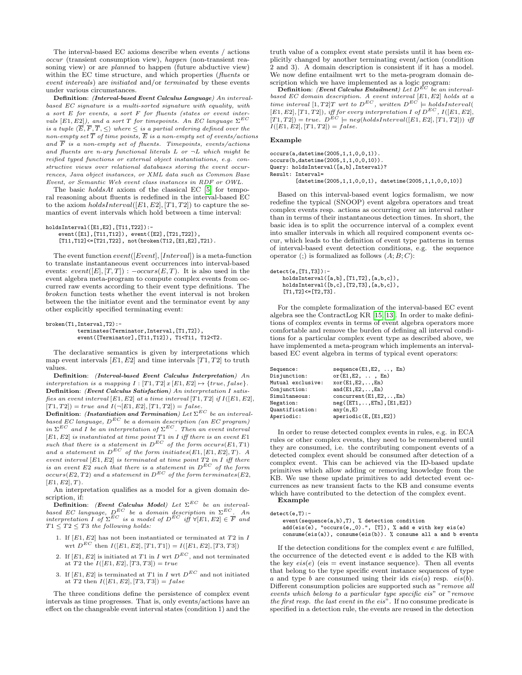The interval-based EC axioms describe when events / actions occur (transient consumption view), happen (non-transient reasoning view) or are *planned* to happen (future abductive view) within the EC time structure, and which properties (*fluents* or event intervals) are initiated and/or terminated by these events under various circumstances.

Definition: (Interval-based Event Calculus Language) An intervalbased EC signature is a multi-sorted signature with equality, with a sort E for events, a sort F for fluents (states or event intervals  $[E1, E2]$ ), and a sort T for timepoints. An EC language  $\Sigma^{EC}$ is a tuple  $\langle E, F, T, \leq \rangle$  where  $\leq$  is a partial ordering defined over the non-empty set T of time points, E is a non-empty set of events/actions and  $\overline{F}$  is a non-empty set of fluents. Timepoints, events/actions and fluents are n-ary functional literals  $L$  or  $\neg L$  which might be reified typed functions or external object instantiations, e.g. constructive views over relational databases storing the event occurrences, Java object instances, or XML data such as Common Base Event, or Semantic Web event class instances in RDF or OWL.

The basic  $holdsAt$  axiom of the classical EC [\[5\]](#page-10-10) for temporal reasoning about fluents is redefined in the interval-based EC to the axiom  $holdsInterval([E1, E2], [T1, T2])$  to capture the semantics of event intervals which hold between a time interval:

```
holdsInterval([E1,E2],[T11,T22]):-
    event([E1],[T11,T12]), event([E2],[T21,T22]),
    [T11,T12]<=[T21,T22], not(broken(T12,[E1,E2],T21).
```
The event function  $event([Event], [Interval])$  is a meta-function to translate instantaneous event occurrences into interval-based events:  $event([E], [T, T]) : - occurs(E, T)$ . It is also used in the event algebra meta-program to compute complex events from occurred raw events according to their event type definitions. The broken function tests whether the event interval is not broken between the the initiator event and the terminator event by any other explicitly specified terminating event:

broken(T1,Interval,T2): terminates(Terminator,Interval,[T1,T2]), event([Terminator],[T11,T12]), T1<T11, T12<T2.

The declarative semantics is given by interpretations which map event intervals  $[E1, E2]$  and time intervals  $[T1, T2]$  to truth values.

Definition: (Interval-based Event Calculus Interpretation) An interpretation is a mapping  $I : [T1, T2] \times [E1, E2] \mapsto \{true, false\}.$ Definition: (Event Calculus Satisfaction) An interpretation I satisfies an event interval  $[E1, E2]$  at a time interval  $[T1, T2]$  if  $I([E1, E2],$  $[T1, T2]$  = true and  $I(\neg [E1, E2], [T1, T2]) = false.$ 

Definition: (Instantiation and Termination) Let  $\Sigma^{EC}$  be an intervalbased EC language,  $D^{EC}$  be a domain description (an EC program) in  $\Sigma^{EC}$  and I be an interpretation of  $\Sigma^{EC}$ . Then an event interval  $[E1, E2]$  is instantiated at time point  $T1$  in I iff there is an event  $E1$ such that there is a statement in  $D^{EC}$  of the form occurs(E1, T1) and a statement in  $D^{EC}$  of the form initiates(E1, [E1, E2], T). A event interval  $[E1, E2]$  is terminated at time point  $T2$  in I iff there is an event E2 such that there is a statement in  $D^{EC}$  of the form  $occurs(E2,T2)$  and a statement in  $D^{EC}$  of the form terminates(E2,  $[E1, E2], T$ .

An interpretation qualifies as a model for a given domain description, if:

**Definition:** (Event Calculus Model) Let  $\Sigma^{EC}$  be an intervalbased EC language,  $D^{EC}$  be a domain description in  $\Sigma^{EC}$ . An interpretation I of  $\Sigma^{EC}$  is a model of  $D^{EC}$  iff  $\forall [E1, E2] \in \overline{F}$  and  $T1 \leq T2 \leq T3$  the following holds:

- 1. If  $[E1, E2]$  has not been instantiated or terminated at  $T2$  in  $I$ wrt  $D^{EC}$  then  $I([E1, E2], [T1, T1]) = I([E1, E2], [T3, T3])$
- 2. If  $[E1, E2]$  is initiated at T1 in I wrt  $D^{EC}$ , and not terminated at T2 the  $I([E1, E2], [T3, T3]) = true$
- 3. If  $[E1, E2]$  is terminated at T1 in I wrt  $D^{EC}$  and not initiated at  $T2$  then  $I([E1, E2], [T3, T3]) = false$

The three conditions define the persistence of complex event intervals as time progresses. That is, only events/actions have an effect on the changeable event interval states (condition 1) and the

truth value of a complex event state persists until it has been explicitly changed by another terminating event/action (condition 2 and 3). A domain description is consistent if it has a model. We now define entailment wrt to the meta-program domain description which we have implemented as a logic program:<br>Definition: (Event Calculus Entailment) Let  $D^{EC}$  be an interval-

based EC domain description. A event interval  $[E1, E2]$  holds at a<br>time interval  $[1, T2]T$  wrt to  $D^{EC}$ , written  $D^{EC} \models holdsInterval$  $[E1, E2], [T1, T2]), iff for every interpretation I of D<sup>EC</sup>, I([E1, E2], I[E2])$  $[T1, T2]$  = true.  $D^{EC}$  = neg(holdsInterval([E1, E2], [T1, T2])) iff  $I([E1, E2], [T1, T2]) = false.$ 

#### Example

occurs(a,datetime(2005,1,1,0,0,1)). occurs(b,datetime(2005,1,1,0,0,10)). Query: holdsInterval([a,b],Interval)? Result: Interval=

[datetime(2005,1,1,0,0,1), datetime(2005,1,1,0,0,10)]

Based on this interval-based event logics formalism, we now redefine the typical (SNOOP) event algebra operators and treat complex events resp. actions as occurring over an interval rather than in terms of their instantaneous detection times. In short, the basic idea is to split the occurrence interval of a complex event into smaller intervals in which all required component events occur, which leads to the definition of event type patterns in terms of interval-based event detection conditions, e.g. the sequence operator (;) is formalized as follows  $(A; B; C)$ :

```
detect(e,[T1,T3]):-
```

```
holdsInterval([a,b],[T1,T2],[a,b,c]),
holdsInterval([b,c],[T2,T3],[a,b,c]),
```

```
[T1, T2] \leq [T2, T3].
```
For the complete formalization of the interval-based EC event algebra see the ContractLog KR [\[15,](#page-10-1) [13\]](#page-10-0). In order to make definitions of complex events in terms of event algebra operators more comfortable and remove the burden of defining all interval conditions for a particular complex event type as described above, we have implemented a meta-program which implements an intervalbased EC event algebra in terms of typical event operators:

| Sequence:         | $sequence(E1, E2, \ldots, En)$      |
|-------------------|-------------------------------------|
| Disjunction:      | or $(E1, E2, \ldots, En)$           |
| Mutual exclusive: | $xor(E1, E2, \ldots, En)$           |
| Conjunction:      | and $(E1, E2, \ldots, En)$          |
| Simultaneous:     | $concurrent(E1,E2,\ldots,En)$       |
| Negation:         | $neg([ET1, \ldots, ETn], [E1, E2])$ |
| Quantification:   | any(n,E)                            |
| Aperiodic:        | aperiodic(E, [E1, E2])              |
|                   |                                     |

In order to reuse detected complex events in rules, e.g. in ECA rules or other complex events, they need to be remembered until they are consumed, i.e. the contributing component events of a detected complex event should be consumed after detection of a complex event. This can be achieved via the ID-based update primitives which allow adding or removing knowledge from the KB. We use these update primitives to add detected event occurrences as new transient facts to the KB and consume events which have contributed to the detection of the complex event. Example

```
detect(e,T):-
```
event(sequence(a,b),T), % detection condition add(eis(e), "occurs(e,\_0).", [T]), % add e with key eis(e) consume(eis(a)), consume(eis(b)). % consume all a and b events

If the detection conditions for the complex event  $e$  are fulfilled, the occurrence of the detected event e is added to the KB with the key  $eis(e)$  (eis = event instance sequence). Then all events that belong to the type specific event instance sequences of type a and type b are consumed using their ids  $eis(a)$  resp.  $eis(b)$ . Different consumption policies are supported such as "remove all events which belong to a particular type specific eis" or "remove the first resp. the last event in the eis". If no consume predicate is specified in a detection rule, the events are reused in the detection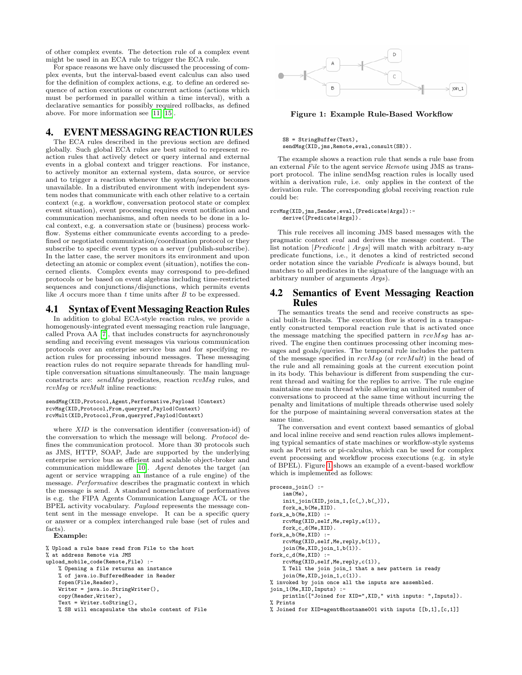of other complex events. The detection rule of a complex event might be used in an ECA rule to trigger the ECA rule.

For space reasons we have only discussed the processing of complex events, but the interval-based event calculus can also used for the definition of complex actions, e.g. to define an ordered sequence of action executions or concurrent actions (actions which must be performed in parallel within a time interval), with a declarative semantics for possibly required rollbacks, as defined above. For more information see [\[11,](#page-10-8) [15\]](#page-10-1).

### 4. EVENTMESSAGING REACTION RULES

The ECA rules described in the previous section are defined globally. Such global ECA rules are best suited to represent reaction rules that actively detect or query internal and external events in a global context and trigger reactions. For instance, to actively monitor an external system, data source, or service and to trigger a reaction whenever the system/service becomes unavailable. In a distributed environment with independent system nodes that communicate with each other relative to a certain context (e.g. a workflow, conversation protocol state or complex event situation), event processing requires event notification and communication mechanisms, and often needs to be done in a local context, e.g. a conversation state or (business) process workflow. Systems either communicate events according to a predefined or negotiated communication/coordination protocol or they subscribe to specific event types on a server (publish-subscribe). In the latter case, the server monitors its environment and upon detecting an atomic or complex event (situation), notifies the concerned clients. Complex events may correspond to pre-defined protocols or be based on event algebras including time-restricted sequences and conjunctions/disjunctions, which permits events like A occurs more than t time units after B to be expressed.

### 4.1 Syntax of Event Messaging Reaction Rules

In addition to global ECA-style reaction rules, we provide a homogenously-integrated event messaging reaction rule language, called Prova AA [\[7\]](#page-10-11), that includes constructs for asynchronously sending and receiving event messages via various communication protocols over an enterprise service bus and for specifying reaction rules for processing inbound messages. These messaging reaction rules do not require separate threads for handling multiple conversation situations simultaneously. The main language constructs are: sendMsg predicates, reaction rcvMsg rules, and rcvMsg or rcvMult inline reactions:

### sendMsg(XID,Protocol,Agent,Performative,Payload |Context) rcvMsg(XID,Protocol,From,queryref,Paylod|Context) rcvMult(XID,Protocol,From,queryref,Paylod|Context)

where XID is the conversation identifier (conversation-id) of the conversation to which the message will belong. Protocol defines the communication protocol. More than 30 protocols such as JMS, HTTP, SOAP, Jade are supported by the underlying enterprise service bus as efficient and scalable object-broker and communication middleware [\[10\]](#page-10-12). Agent denotes the target (an agent or service wrapping an instance of a rule engine) of the message. Performative describes the pragmatic context in which the message is send. A standard nomenclature of performatives is e.g. the FIPA Agents Communication Language ACL or the BPEL activity vocabulary. Payload represents the message content sent in the message envelope. It can be a specific query or answer or a complex interchanged rule base (set of rules and facts). Example:

% Upload a rule base read from File to the host % at address Remote via JMS upload\_mobile\_code(Remote,File) :- % Opening a file returns an instance % of java.io.BufferedReader in Reader fopen(File,Reader), Writer = java.io.StringWriter(), copy(Reader,Writer), Text = Writer.toString(), % SB will encapsulate the whole content of File



<span id="page-4-0"></span>Figure 1: Example Rule-Based Workflow

SB = StringBuffer(Text), sendMsg(XID,jms,Remote,eval,consult(SB)).

The example shows a reaction rule that sends a rule base from an external File to the agent service Remote using JMS as transport protocol. The inline sendMsg reaction rules is locally used within a derivation rule, i.e. only applies in the context of the derivation rule. The corresponding global receiving reaction rule could be:

#### rcvMsg(XID,jms,Sender,eval,[Predicate|Args]): derive([Predicate|Args]).

This rule receives all incoming JMS based messages with the pragmatic context eval and derives the message content. The list notation  $[Predict \mid Args]$  will match with arbitrary n-ary predicate functions, i.e., it denotes a kind of restricted second order notation since the variable Predicate is always bound, but matches to all predicates in the signature of the language with an arbitrary number of arguments Args).

### 4.2 Semantics of Event Messaging Reaction Rules

The semantics treats the send and receive constructs as special built-in literals. The execution flow is stored in a transparently constructed temporal reaction rule that is activated once the message matching the specified pattern in  $rcvMsq$  has arrived. The engine then continues processing other incoming messages and goals/queries. The temporal rule includes the pattern of the message specified in  $rcvMsq$  (or  $rcvMult$ ) in the head of the rule and all remaining goals at the current execution point in its body. This behaviour is different from suspending the current thread and waiting for the replies to arrive. The rule engine maintains one main thread while allowing an unlimited number of conversations to proceed at the same time without incurring the penalty and limitations of multiple threads otherwise used solely for the purpose of maintaining several conversation states at the same time.

The conversation and event context based semantics of global and local inline receive and send reaction rules allows implementing typical semantics of state machines or workflow-style systems such as Petri nets or pi-calculus, which can be used for complex event processing and workflow process executions (e.g. in style of BPEL). Figure [1](#page-4-0) shows an example of a event-based workflow which is implemented as follows:

```
process_join() :-
    iam(Me),
    init\_join(XID,join_1,[c(\_),b(\_)]),
   fork_a_b(Me,XID).
fork_a_b(Me,XID) :-
    rcvMsg(XID,self,Me,reply,a(1)),
    fork_c_d(Me,XID).
fork_a_b(Me,XID) :-
    rcvMsg(XID,self,Me,reply,b(1)),
    join(Me,XID,join_1,b(1)).
fork_c_d(Me,XID) :-
    rcvMsg(XID,self,Me,reply,c(1)),
    % Tell the join join_1 that a new pattern is ready
    join(Me,XID,join_1,c(1)).
% invoked by join once all the inputs are assembled.
join_1(Me,XID,Inputs) :-
   println(["Joined for XID=",XID," with inputs: ",Inputs]).
% Prints
% Joined for XID=agent@hostname001 with inputs [[b,1],[c,1]]
```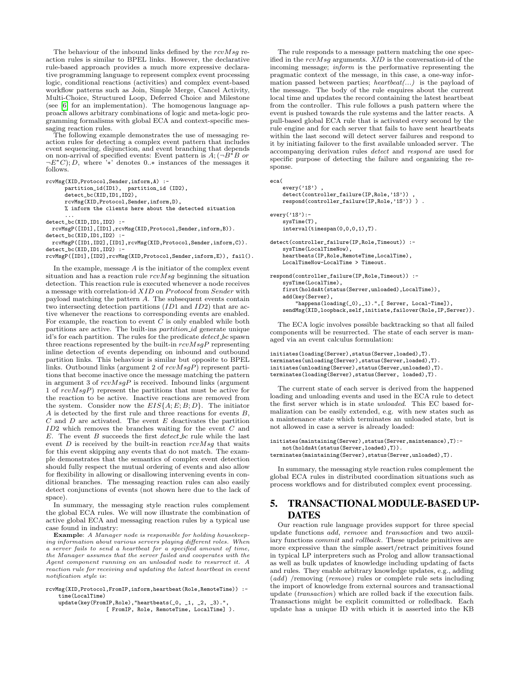The behaviour of the inbound links defined by the  $rcvMsq$  reaction rules is similar to BPEL links. However, the declarative rule-based approach provides a much more expressive declarative programming language to represent complex event processing logic, conditional reactions (activities) and complex event-based workflow patterns such as Join, Simple Merge, Cancel Activity, Multi-Choice, Structured Loop, Deferred Choice and Milestone (see [\[6\]](#page-10-6) for an implementation). The homogenous language approach allows arbitrary combinations of logic and meta-logic programming formalisms with global ECA and context-specific messaging reaction rules.

The following example demonstrates the use of messaging reaction rules for detecting a complex event pattern that includes event sequencing, disjunction, and event branching that depends on non-arrival of specified events: Event pattern is  $A$ ; ( $\neg B^*B$  or  $\neg E^*C$ ; D, where '<sup>\*</sup>\*' denotes 0..\* instances of the messages it follows.

rcvMsg(XID,Protocol,Sender,inform,A) : partition\_id(ID1), partition\_id (ID2), detect\_bc(XID,ID1,ID2), rcvMsg(XID,Protocol,Sender,inform,D), % inform the clients here about the detected situation ...

detect\_bc(XID,ID1,ID2) :-

rcvMsgP([ID1],[ID1],rcvMsg(XID,Protocol,Sender,inform,B)). detect\_bc(XID,ID1,ID2) :

rcvMsgP([ID1,ID2],[ID1],rcvMsg(XID,Protocol,Sender,inform,C)). detect\_bc(XID,ID1,ID2) :-

rcvMsgP([ID1],[ID2],rcvMsg(XID,Protocol,Sender,inform,E)), fail().

In the example, message  $A$  is the initiator of the complex event situation and has a reaction rule  $rcvMsg$  beginning the situation detection. This reaction rule is executed whenever a node receives a message with correlation-id  $XID$  on  $Protocol$  from  $Sender$  with payload matching the pattern A. The subsequent events contain two intersecting detection partitions (ID1 and ID2) that are active whenever the reactions to corresponding events are enabled. For example, the reaction to event  $\overline{C}$  is only enabled while both partitions are active. The built-ins partition id generate unique id's for each partition. The rules for the predicate detect bc spawn three reactions represented by the built-in  $rcvMsaP$  representing inline detection of events depending on inbound and outbound partition links. This behaviour is similar but opposite to BPEL links. Outbound links (argument 2 of  $rcvMsgP$ ) represent partitions that become inactive once the message matching the pattern in argument 3 of  $rcvMsgP$  is received. Inbound links (argument 1 of rcvMsgP) represent the partitions that must be active for the reaction to be active. Inactive reactions are removed from the system. Consider now the  $EIS{A; E; B; D}$ . The initiator A is detected by the first rule and three reactions for events B,  $C$  and  $D$  are activated. The event  $E$  deactivates the partition ID2 which removes the branches waiting for the event C and  $E$ . The event  $B$  succeeds the first  $detect\_bc$  rule while the last event  $D$  is received by the built-in reaction  $rcvMsq$  that waits for this event skipping any events that do not match. The example demonstrates that the semantics of complex event detection should fully respect the mutual ordering of events and also allow for flexibility in allowing or disallowing intervening events in conditional branches. The messaging reaction rules can also easily detect conjunctions of events (not shown here due to the lack of space).

In summary, the messaging style reaction rules complement the global ECA rules. We will now illustrate the combination of active global ECA and messaging reaction rules by a typical use case found in industry:

Example: A Manager node is responsible for holding housekeeping information about various servers playing different roles. When a server fails to send a heartbeat for a specified amount of time, the Manager assumes that the server failed and cooperates with the Agent component running on an unloaded node to resurrect it. A reaction rule for receiving and updating the latest heartbeat in event notification style is:

```
rcvMsg(XID,Protocol,FromIP,inform,heartbeat(Role,RemoteTime)) :-
    time(LocalTime)
```
update(key(FromIP, Role), "heartbeats(\_0, \_1, \_2, \_3)." [ FromIP, Role, RemoteTime, LocalTime] ).

The rule responds to a message pattern matching the one specified in the  $rcvMsg$  arguments.  $XID$  is the conversation-id of the incoming message; inform is the performative representing the pragmatic context of the message, in this case, a one-way information passed between parties;  $heartbeat(...)$  is the payload of the message. The body of the rule enquires about the current local time and updates the record containing the latest heartbeat from the controller. This rule follows a push pattern where the event is pushed towards the rule systems and the latter reacts. A pull-based global ECA rule that is activated every second by the rule engine and for each server that fails to have sent heartbeats within the last second will detect server failures and respond to it by initiating failover to the first available unloaded server. The accompanying derivation rules detect and respond are used for specific purpose of detecting the failure and organizing the response.

```
eca(
    every('1S'),
   detect(controller_failure(IP,Role,'1S'))
    respond(controller_failure(IP,Role,'1S')) ) .
every('1S'):-
    sysTime(T),
    interval(timespan(0,0,0,1),T).
```
detect(controller\_failure(IP,Role,Timeout)) : sysTime(LocalTimeNow), heartbeats(IP,Role,RemoteTime,LocalTime), LocalTimeNow-LocalTime > Timeout.

```
respond(controller_failure(IP,Role,Timeout)) :-
   sysTime(LocalTime),
   first(holdsAt(status(Server,unloaded),LocalTime)),
   add(key(Server),
        "happens(loading(_0),_1).",[ Server, Local-Time]),
    sendMsg(XID,loopback,self,initiate,failover(Role, IP, Server)).
```
The ECA logic involves possible backtracking so that all failed components will be resurrected. The state of each server is managed via an event calculus formulation:

```
initiates(loading(Server),status(Server,loaded),T).
terminates(unloading(Server),status(Server,loaded),T).
initiates(unloading(Server),status(Server,unloaded),T).
terminates(loading(Server),status(Server, loaded),T).
```
The current state of each server is derived from the happened loading and unloading events and used in the ECA rule to detect the first server which is in state unloaded. This EC based formalization can be easily extended, e.g. with new states such as a maintenance state which terminates an unloaded state, but is not allowed in case a server is already loaded:

```
initiates(maintaining(Server),status(Server,maintenance),T):-
   not(holdsAt(status(Server,loaded),T)).
terminates(maintaining(Server),status(Server,unloaded),T).
```
In summary, the messaging style reaction rules complement the global ECA rules in distributed coordination situations such as process workflows and for distributed complex event processing.

### 5. TRANSACTIONALMODULE-BASED UP-DATES

Our reaction rule language provides support for three special update functions add, remove and transaction and two auxiliary functions commit and rollback. These update primitives are more expressive than the simple assert/retract primitives found in typical LP interpreters such as Prolog and allow transactional as well as bulk updates of knowledge including updating of facts and rules. They enable arbitrary knowledge updates, e.g., adding (add) /removing (remove) rules or complete rule sets including the import of knowledge from external sources and transactional update (transaction) which are rolled back if the execution fails. Transactions might be explicit committed or rolledback. Each update has a unique ID with which it is asserted into the KB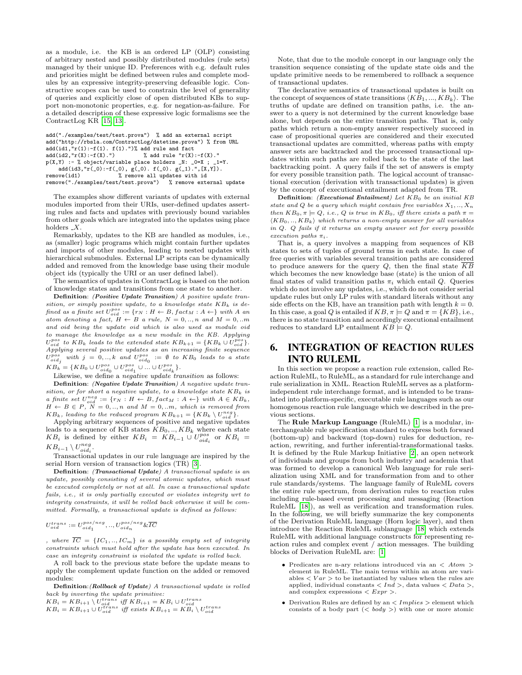as a module, i.e. the KB is an ordered LP (OLP) consisting of arbitrary nested and possibly distributed modules (rule sets) managed by their unique ID. Preferences with e.g. default rules and priorities might be defined between rules and complete modules by an expressive integrity-preserving defeasible logic. Constructive scopes can be used to constrain the level of generality of queries and explicitly close of open distributed KBs to support non-monotonic properties, e.g. for negation-as-failure. For a detailed description of these expressive logic formalisms see the ContractLog KR [\[15,](#page-10-1) [13\]](#page-10-0).

```
add("./examples/test/test.prova") % add an external script
add("http://rbsla.com/ContractLog/datetime.prova") % from URL
\begin{array}{lcl} \texttt{add}(\texttt{id1}, \texttt{''r(1)}\texttt{:=f(1)}\texttt{. f(1)}\texttt{.''})\texttt{''} & \texttt{add rule} \texttt{ and } \texttt{fact}\\ \texttt{add}(\texttt{id2}, \texttt{''r(X)}\texttt{:=f(X)}\texttt{.''}) & \texttt{''} & \texttt{add rule} \texttt{''r(X)} \end{array}% add rule "r(X):-f(X)."
p(X,Y) :- % object/variable place holders _N: _0=X ; _1=Y.<br>add(id3,"r(_0):-f(_0), g(_0). f(_0). g(_1).",[X,Y]).
remove(id1) % remove all updates with id
remove("./examples/test/test.prova") % remove external update
```
The examples show different variants of updates with external modules imported from their URIs, user-defined updates asserting rules and facts and updates with previously bound variables from other goals which are integrated into the updates using place holders  $X$ .

Remarkably, updates to the KB are handled as modules, i.e., as (smaller) logic programs which might contain further updates and imports of other modules, leading to nested updates with hierarchical submodules. External LP scripts can be dynamically added and removed from the knowledge base using their module object ids (typically the URI or an user defined label).

The semantics of updates in ContractLog is based on the notion of knowledge states and transitions from one state to another.

Definition: (Positive Update Transition) A positive update transition, or simply positive update, to a knowledge state  $KB_k$  is defined as a finite set  $U_{oid}^{pos} := \{r_N : H \leftarrow B, fact_M : A \leftarrow \}$  with A an atom denoting a fact,  $H \leftarrow B$  a rule,  $N = 0, ..., n$  and  $M = 0, ...m$ and oid being the update oid which is also used as module oid to manage the knowledge as a new module in the KB. Applying  $U_{oid}^{pos}$  to  $KB_k$  leads to the extended state  $KB_{k+1} = \{KB_k \cup U_{oid}^{pos}\}.$ Applying several positive updates as an increasing finite sequence  $U^{pos}_{oid_j}$  with  $j = 0,..,k$  and  $U^{pos}_{oid_0} := \emptyset$  to  $KB_0$  leads to a state  $KB_k = \{KB_0 \cup U^{pos}_{oid_0} \cup U^{pos}_{oid_1} \cup ... \cup U^{pos}_{oid_k}\}.$ 

Likewise, we define a *negative update transition* as follows:

Definition: (Negative Update Transition) A negative update transition, or for short a negative update, to a knowledge state  $KB_k$  is a finite set  $U_{\text{red}}^{neg} := \{r_N : H \leftarrow B, \text{fact}_M : A \leftarrow \}$  with  $A \in KB_k$ ,<br>  $H \leftarrow B \in P, N = 0, ..., n$  and  $M = 0, ..., m$ , which is removed from  $KB_k$ , leading to the reduced program  $KB_{k+1} = \{KB_k \setminus U_{oid}^{neg}\}.$ 

Applying arbitrary sequences of positive and negative updates leads to a sequence of KB states  $KB_0, ..., KB_k$  where each state  $KB_i$  is defined by either  $KB_i = KB_{i-1} \cup U_{oid_i}^{pos}$  or  $KB_i =$  $KB_{i-1} \setminus U^{neg}_{oid_i}.$ 

Transactional updates in our rule language are inspired by the serial Horn version of transaction logics (TR) [\[3\]](#page-10-13).

Definition: (Transactional Update) A transactional update is an update, possibly consisting of several atomic updates, which must be executed completely or not at all. In case a transactional update fails, i.e., it is only partially executed or violates integrity wrt to integrity constraints, it will be rolled back otherwise it will be committed. Formally, a transactional update is defined as follows:

$$
U_{oid}^{trans}:=U_{oid_1}^{pos/neg},..,U_{oid_n}^{pos/neg} \& \overline{IC}
$$

, where  $\overline{IC} = \{IC_1, .., IC_m\}$  is a possibly empty set of integrity constraints which must hold after the update has been executed. In case an integrity constraint is violated the update is rolled back.

A roll back to the previous state before the update means to apply the complement update function on the added or removed modules:

Definition:(Rollback of Update) A transactional update is rolled back by inverting the update primitive:

 $KB_i = KB_{i+1} \setminus U_{oid}^{trans}$  iff  $KB_{i+1} = KB_i \cup U_{oid}^{trans}$ <br>  $KB_i = KB_{i+1} \cup U_{oid}^{trans}$  iff exists  $KB_{i+1} = KB_i \setminus U$ 

$$
KB_i = KB_{i+1} \cup U_{oid}^{trans} \text{ iff exists } KB_{i+1} = KB_i \setminus U_{oid}^{trans}
$$

Note, that due to the module concept in our language only the transition sequence consisting of the update state oids and the update primitive needs to be remembered to rollback a sequence of transactional updates.

The declarative semantics of transactional updates is built on the concept of sequences of state transitions  $\langle KB_1, ..., KB_k \rangle$ . The truths of update are defined on transition paths, i.e. the answer to a query is not determined by the current knowledge base alone, but depends on the entire transition paths. That is, only paths which return a non-empty answer respectively succeed in case of propositional queries are considered and their executed transactional updates are committed, whereas paths with empty answer sets are backtracked and the processed transactional updates within such paths are rolled back to the state of the last backtracking point. A query fails if the set of answers is empty for every possible transition path. The logical account of transactional execution (derivation with transactional updates) is given by the concept of executional entailment adapted from TR.

Definition: (Executional Entailment) Let  $KB<sub>0</sub>$  be an initial KB state and Q be a query which might contain free variables  $X_1, ..., X_n$ then  $KB_0, \pi \models Q$ , i.e., Q is true in  $KB_0$ , iff there exists a path  $\pi =$  $\langle KB_0, ..., KB_k \rangle$  which returns a non-empty answer for all variables in Q. Q fails if it returns an empty answer set for every possible execution paths  $\pi_i$ .

That is, a query involves a mapping from sequences of KB states to sets of tuples of ground terms in each state. In case of free queries with variables several transition paths are considered to produce answers for the query  $Q$ , then the final state  $\overline{KB}$ which becomes the new knowledge base (state) is the union of all final states of valid transition paths  $\pi_i$  which entail Q. Queries which do not involve any updates, i.e., which do not consider serial update rules but only LP rules with standard literals without any side effects on the KB, have an transition path with length  $k = 0$ . In this case, a goal Q is entailed if  $KB, \pi \models Q$  and  $\pi = \{KB\}$ , i.e., there is no state transition and accordingly executional entailment reduces to standard LP entailment  $\overrightarrow{KB} \models Q$ .

## 6. INTEGRATION OF REACTION RULES INTO RULEML

In this section we propose a reaction rule extension, called Reaction RuleML, to RuleML, as a standard for rule interchange and rule serialization in XML. Reaction RuleML serves as a platformindependent rule interchange format, and is intended to be translated into platform-specific, executable rule languages such as our homogenous reaction rule language which we described in the previous sections.

The Rule Markup Language (RuleML) [\[1\]](#page-10-2) is a modular, interchangeable rule specification standard to express both forward (bottom-up) and backward (top-down) rules for deduction, reaction, rewriting, and further inferential-transformational tasks. It is defined by the Rule Markup Initiative [\[2\]](#page-10-14), an open network of individuals and groups from both industry and academia that was formed to develop a canonical Web language for rule serialization using XML and for transformation from and to other rule standards/systems. The language family of RuleML covers the entire rule spectrum, from derivation rules to reaction rules including rule-based event processing and messaging (Reaction RuleML [\[18\]](#page-10-15)), as well as verification and transformation rules. In the following, we will briefly summarize the key components of the Derivation RuleML language (Horn logic layer), and then introduce the Reaction RuleML sublanguage [\[18\]](#page-10-15) which extends RuleML with additional language constructs for representing reaction rules and complex event / action messages. The building blocks of Derivation RuleML are: [\[1\]](#page-10-2)

- Predicates are n-ary relations introduced via an  $\langle$  *Atom*  $\rangle$  element in RuleML. The main terms within an atom are variables  $\langle Var \rangle$  to be instantiated by values when the rules are applied, individual constants  $\langle Ind \rangle$ , data values  $\langle Data \rangle$ , and complex expressions  $\langle$  Expr  $\rangle$ .
- Derivation Rules are defined by an  $\langle$  Implies  $\rangle$  element which consists of a body part  $(*body*)$  with one or more atomic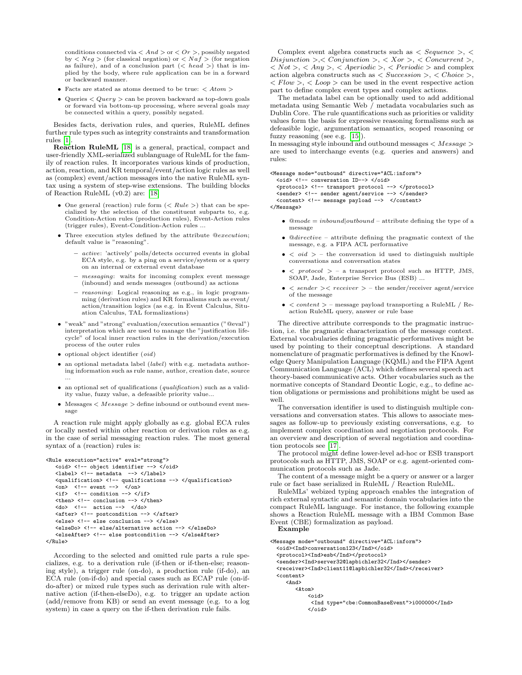conditions connected via  $\langle And \rangle$  or  $\langle Or \rangle$ , possibly negated by  $\langle Neg \rangle$  (for classical negation) or  $\langle Naf \rangle$  (for negation as failure), and of a conclusion part  $(\langle head \rangle)$  that is implied by the body, where rule application can be in a forward or backward manner.

- $\bullet~$  Facts are stated as atoms deemed to be true:  $<$   $Atom$   $>$
- Queries  $\langle$  Query  $\rangle$  can be proven backward as top-down goals or forward via bottom-up processing, where several goals may be connected within a query, possibly negated.

Besides facts, derivation rules, and queries, RuleML defines further rule types such as integrity constraints and transformation rules [\[1\]](#page-10-2).

Reaction RuleML [\[18\]](#page-10-15) is a general, practical, compact and user-friendly XML-serialized sublanguage of RuleML for the family of reaction rules. It incorporates various kinds of production, action, reaction, and KR temporal/event/action logic rules as well as (complex) event/action messages into the native RuleML syntax using a system of step-wise extensions. The building blocks of Reaction RuleML (v0.2) are: [\[18\]](#page-10-15)

- One general (reaction) rule form  $(*Rule*)$  that can be specialized by the selection of the constituent subparts to, e.g. Condition-Action rules (production rules), Event-Action rules (trigger rules), Event-Condition-Action rules ...
- Three execution styles defined by the attribute @execution; default value is "reasoning".
	- active: 'actively' polls/detects occurred events in global ECA style, e.g. by a ping on a service/system or a query on an internal or external event database
	- messaging: waits for incoming complex event message (inbound) and sends messages (outbound) as actions
	- reasoning: Logical reasoning as e.g., in logic programming (derivation rules) and KR formalisms such as event/ action/transition logics (as e.g. in Event Calculus, Situation Calculus, TAL formalizations)
- "weak" and "strong" evaluation/execution semantics ("@eval") interpretation which are used to manage the "justification lifecycle" of local inner reaction rules in the derivation/execution process of the outer rules
- optional object identifier (oid)
- $\bullet$  an optional metadata label (*label*) with e.g. metadata authoring information such as rule name, author, creation date, source ...
- $\bullet~$  an optional set of qualifications  $\it (qualification)$  such as a validity value, fuzzy value, a defeasible priority value...
- Messages  $\langle$  *Message*  $\rangle$  define inbound or outbound event message

A reaction rule might apply globally as e.g. global ECA rules or locally nested within other reaction or derivation rules as e.g. in the case of serial messaging reaction rules. The most general syntax of a (reaction) rules is:

```
<Rule execution="active" eval="strong">
   <oid> <!-- object identifier --> </oid>
   <label> <!-- metadata --> </label>
   <qualification> <!-- qualifications --> </qualification>
   \langleon> \langle!-- event --> \langle/on>
   \langleif> \langle |-- condition --> \langle/if>
   <then> <!-- conclusion --> </then>
   \langledo> \langle!-- action --> \langle/do>
   <after> <!-- postcondition --> </after>
   <else> <!-- else conclusion --> </else>
   <elseDo> <!-- else/alternative action --> </elseDo>
   <elseAfter> <!-- else postcondition --> </elseAfter>
</Rule>
```
According to the selected and omitted rule parts a rule specializes, e.g. to a derivation rule (if-then or if-then-else; reasoning style), a trigger rule (on-do), a production rule (if-do), an ECA rule (on-if-do) and special cases such as ECAP rule (on-ifdo-after) or mixed rule types such as derivation rule with alternative action (if-then-elseDo), e.g. to trigger an update action (add/remove from KB) or send an event message (e.g. to a log system) in case a query on the if-then derivation rule fails.

Complex event algebra constructs such as  $\langle Sequence \rangle$ ,  $\langle$  $Disjunction > \langle \textit{Conjunction} > \rangle < Xor > \langle \textit{Concurrent} > \rangle$  $\langle Not \rangle$ ,  $\langle Any \rangle$ ,  $\langle Aperiodic \rangle$ ,  $\langle Periodic \rangle$  and complex action algebra constructs such as  $\langle Succission \rangle$ ,  $\langle Choice \rangle$ ,  $\langle Flow \rangle$ ,  $\langle Loop \rangle$  can be used in the event respective action part to define complex event types and complex actions.

The metadata label can be optionally used to add additional metadata using Semantic Web / metadata vocabularies such as Dublin Core. The rule quantifications such as priorities or validity values form the basis for expressive reasoning formalisms such as defeasible logic, argumentation semantics, scoped reasoning or fuzzy reasoning (see e.g. [\[15\]](#page-10-1)).

In messaging style inbound and outbound messages  $<$  Message  $>$ are used to interchange events (e.g. queries and answers) and rules:

#### <Message mode="outbound" directive="ACL:inform">

```
<oid> <!-- conversation ID--> </oid>
<protocol> <!-- transport protocol --> </protocol>
<sender> <!-- sender agent/service --> </sender>
<content> <!-- message payload --> </content>
```
</Message>

- $@mode = inbound|outbound attribute defining the type of a$ message
- @directive attribute defining the pragmatic context of the message, e.g. a FIPA ACL performative
- $\bullet \lt old$  *oid*  $>$  the conversation id used to distinguish multiple conversations and conversation states
- $\bullet \lt$  protocol  $>$  a transport protocol such as HTTP, JMS, SOAP, Jade, Enterprise Service Bus (ESB) ...
- $\langle$  sender  $\rangle$   $\langle$  receiver  $\rangle$  the sender/receiver agent/service of the message
- $\bullet$  < content > message payload transporting a RuleML / Reaction RuleML query, answer or rule base

The directive attribute corresponds to the pragmatic instruction, i.e. the pragmatic characterization of the message context. External vocabularies defining pragmatic performatives might be used by pointing to their conceptual descriptions. A standard nomenclature of pragmatic performatives is defined by the Knowledge Query Manipulation Language (KQML) and the FIPA Agent Communication Language (ACL) which defines several speech act theory-based communicative acts. Other vocabularies such as the normative concepts of Standard Deontic Logic, e.g., to define action obligations or permissions and prohibitions might be used as well.

The conversation identifier is used to distinguish multiple conversations and conversation states. This allows to associate messages as follow-up to previously existing conversations, e.g. to implement complex coordination and negotiation protocols. For an overview and description of several negotiation and coordination protocols see [\[17\]](#page-10-16).

The protocol might define lower-level ad-hoc or ESB transport protocols such as HTTP, JMS, SOAP or e.g. agent-oriented communication protocols such as Jade.

The content of a message might be a query or answer or a larger rule or fact base serialized in RuleML / Reaction RuleML.

RuleMLs' webized typing approach enables the integration of rich external syntactic and semantic domain vocabularies into the compact RuleML language. For instance, the following example shows a Reaction RuleML message with a IBM Common Base Event (CBE) formalization as payload.

```
Example
```

```
<Message mode="outbound" directive="ACL:inform">
  <br/>ad><Ind>conversation123</Ind></oid></
  <protocol><Ind>esb</Ind></protocol>
  <sender><Ind>server32@lapbichler32</Ind></sender>
  <receiver><Ind>client11@lapbichler32</Ind></receiver>
  <content>
     <And>
        <Atom>
            \langleoid\rangle<Ind type="cbe:CommonBaseEvent">i000000</Ind>
             </oid>
```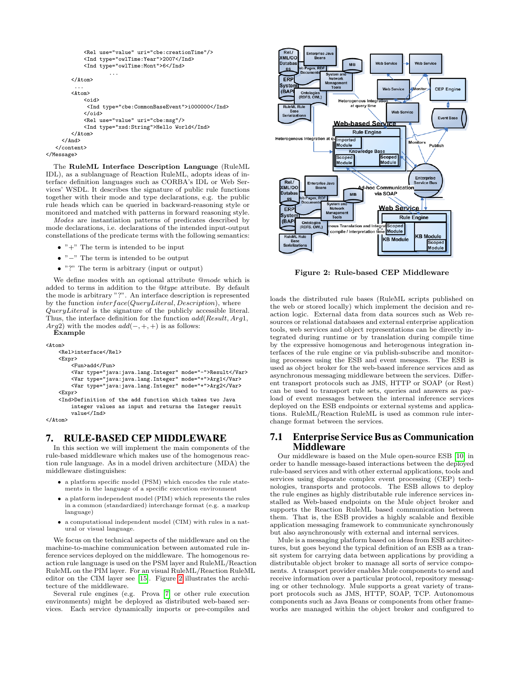```
<Rel use="value" uri="cbe:creationTime"/>
            <Ind type="owlTime:Year">2007</Ind>
            <Ind type="owlTime:Mont">6</Ind>
                     ...
        </Atom>
         ...
        <Atom><oid>
             <Ind type="cbe:CommonBaseEvent">i000000</Ind>
            </oid>
            <Rel use="value" uri="cbe:msg"/>
            <Ind type="xsd:String">Hello World</Ind>
        </Atom>
     </And>
   </content>
</Message>
```
The RuleML Interface Description Language (RuleML IDL), as a sublanguage of Reaction RuleML, adopts ideas of interface definition languages such as CORBA's IDL or Web Services' WSDL. It describes the signature of public rule functions together with their mode and type declarations, e.g. the public rule heads which can be queried in backward-reasoning style or monitored and matched with patterns in forward reasoning style.

Modes are instantiation patterns of predicates described by mode declarations, i.e. declarations of the intended input-output constellations of the predicate terms with the following semantics:

- $\bullet$  "+" The term is intended to be input
- "−" The term is intended to be output
- "?" The term is arbitrary (input or output)

We define modes with an optional attribute @mode which is added to terms in addition to the @type attribute. By default the mode is arbitrary "?". An interface description is represented by the function interface(QueryLiteral, Description), where QueryLiteral is the signature of the publicly accessible literal. Thus, the interface definition for the function add(Result, Arg1, Arg2) with the modes  $add(-, +, +)$  is as follows:

Example

 $<$ Atom $>$ 

```
<Rel>interface</Rel>
<Expr>
```
<Fun>add</Fun>

<Var type="java:java.lang.Integer" mode="-">Result</Var> <Var type="java:java.lang.Integer" mode="+">Arg1</Var> <Var type="java:java.lang.Integer" mode="+">Arg2</Var>

<Expr>

<Ind>Definition of the add function which takes two Java integer values as input and returns the Integer result value</Ind>

</Atom>

### 7. RULE-BASED CEP MIDDLEWARE

In this section we will implement the main components of the rule-based middleware which makes use of the homogenous reaction rule language. As in a model driven architecture (MDA) the middleware distinguishes:

- a platform specific model (PSM) which encodes the rule statements in the language of a specific execution environment
- a platform independent model (PIM) which represents the rules in a common (standardized) interchange format (e.g. a markup language)
- a computational independent model (CIM) with rules in a natural or visual language.

We focus on the technical aspects of the middleware and on the machine-to-machine communication between automated rule inference services deployed on the middleware. The homogenous reaction rule language is used on the PSM layer and RuleML/Reaction RuleML on the PIM layer. For an visual RuleML/Reaction RuleML editor on the CIM layer see [\[15\]](#page-10-1). Figure [2](#page-8-0) illustrates the architecture of the middleware.

Several rule engines (e.g. Prova [\[7\]](#page-10-11) or other rule execution environments) might be deployed as distributed web-based services. Each service dynamically imports or pre-compiles and



<span id="page-8-0"></span>Figure 2: Rule-based CEP Middleware

loads the distributed rule bases (RuleML scripts published on the web or stored locally) which implement the decision and reaction logic. External data from data sources such as Web resources or relational databases and external enterprise application tools, web services and object representations can be directly integrated during runtime or by translation during compile time by the expressive homogenous and heterogenous integration interfaces of the rule engine or via publish-subscribe and monitoring processes using the ESB and event messages. The ESB is used as object broker for the web-based inference services and as asynchronous messaging middleware between the services. Different transport protocols such as JMS, HTTP or SOAP (or Rest) can be used to transport rule sets, queries and answers as payload of event messages between the internal inference services deployed on the ESB endpoints or external systems and applications. RuleML/Reaction RuleML is used as common rule interchange format between the services.

### 7.1 Enterprise Service Bus as Communication **Middleware**

Our middleware is based on the Mule open-source ESB [\[10\]](#page-10-12) in order to handle message-based interactions between the deployed rule-based services and with other external applications, tools and services using disparate complex event processing (CEP) technologies, transports and protocols. The ESB allows to deploy the rule engines as highly distributable rule inference services installed as Web-based endpoints on the Mule object broker and supports the Reaction RuleML based communication between them. That is, the ESB provides a highly scalable and flexible application messaging framework to communicate synchronously but also asynchronously with external and internal services.

Mule is a messaging platform based on ideas from ESB architectures, but goes beyond the typical definition of an ESB as a transit system for carrying data between applications by providing a distributable object broker to manage all sorts of service components. A transport provider enables Mule components to send and receive information over a particular protocol, repository messaging or other technology. Mule supports a great variety of transport protocols such as JMS, HTTP, SOAP, TCP. Autonomous components such as Java Beans or components from other frameworks are managed within the object broker and configured to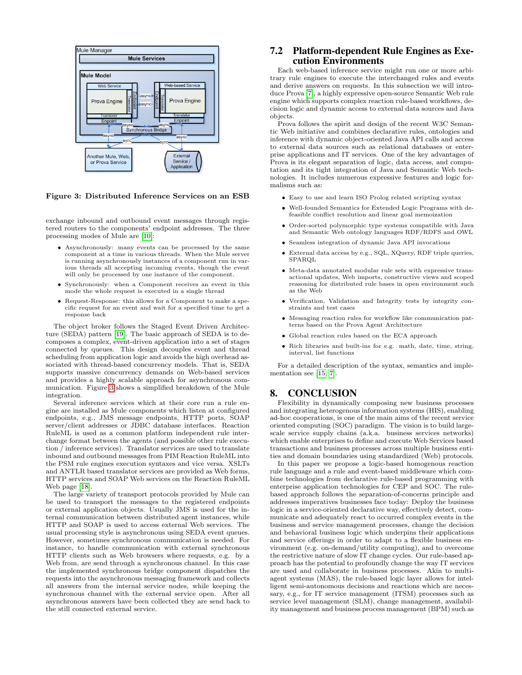

### <span id="page-9-0"></span>Figure 3: Distributed Inference Services on an ESB

exchange inbound and outbound event messages through registered routers to the components' endpoint addresses. The three processing modes of Mule are [\[10\]](#page-10-12):

- Asynchronously: many events can be processed by the same component at a time in various threads. When the Mule server is running asynchronously instances of a component run in various threads all accepting incoming events, though the event will only be processed by one instance of the component.
- Synchronously: when a Component receives an event in this mode the whole request is executed in a single thread
- Request-Response: this allows for a Component to make a specific request for an event and wait for a specified time to get a response back

The object broker follows the Staged Event Driven Architecture (SEDA) pattern [\[19\]](#page-10-17). The basic approach of SEDA is to decomposes a complex, event-driven application into a set of stages connected by queues. This design decouples event and thread scheduling from application logic and avoids the high overhead associated with thread-based concurrency models. That is, SEDA supports massive concurrency demands on Web-based services and provides a highly scalable approach for asynchronous communication. Figure [3](#page-9-0) shows a simplified breakdown of the Mule integration.

Several inference services which at their core run a rule engine are installed as Mule components which listen at configured endpoints, e.g., JMS message endpoints, HTTP ports, SOAP server/client addresses or JDBC database interfaces. Reaction RuleML is used as a common platform independent rule interchange format between the agents (and possible other rule execution / inference services). Translator services are used to translate inbound and outbound messages from PIM Reaction RuleML into the PSM rule engines execution syntaxes and vice versa. XSLTs and ANTLR based translator services are provided as Web forms, HTTP services and SOAP Web services on the Reaction RuleML Web page [\[18\]](#page-10-15).

The large variety of transport protocols provided by Mule can be used to transport the messages to the registered endpoints or external application objects. Usually JMS is used for the internal communication between distributed agent instances, while HTTP and SOAP is used to access external Web services. The usual processing style is asynchronous using SEDA event queues. However, sometimes synchronous communication is needed. For instance, to handle communication with external synchronous HTTP clients such as Web browsers where requests, e.g. by a Web from, are send through a synchronous channel. In this case the implemented synchronous bridge component dispatches the requests into the asynchronous messaging framework and collects all answers from the internal service nodes, while keeping the synchronous channel with the external service open. After all asynchronous answers have been collected they are send back to the still connected external service.

### 7.2 Platform-dependent Rule Engines as Execution Environments

Each web-based inference service might run one or more arbitrary rule engines to execute the interchanged rules and events and derive answers on requests. In this subsection we will introduce Prova [\[7\]](#page-10-11), a highly expressive open-source Semantic Web rule engine which supports complex reaction rule-based workflows, decision logic and dynamic access to external data sources and Java objects.

Prova follows the spirit and design of the recent W3C Semantic Web initiative and combines declarative rules, ontologies and inference with dynamic object-oriented Java API calls and access to external data sources such as relational databases or enterprise applications and IT services. One of the key advantages of Prova is its elegant separation of logic, data access, and computation and its tight integration of Java and Semantic Web technologies. It includes numerous expressive features and logic formalisms such as:

- Easy to use and learn ISO Prolog related scripting syntax
- Well-founded Semantics for Extended Logic Programs with defeasible conflict resolution and linear goal memoization
- Order-sorted polymorphic type systems compatible with Java and Semantic Web ontology languages RDF/RDFS and OWL
- Seamless integration of dynamic Java API invocations
- External data access by e.g., SQL, XQuery, RDF triple queries, SPARQL
- Meta-data annotated modular rule sets with expressive transactional updates, Web imports, constructive views and scoped reasoning for distributed rule bases in open environment such as the Web
- Verification, Validation and Integrity tests by integrity constraints and test cases
- Messaging reaction rules for workflow like communication patterns based on the Prova Agent Architecture
- Global reaction rules based on the ECA approach
- Rich libraries and built-ins for e.g. math, date, time, string, interval, list functions

For a detailed description of the syntax, semantics and implementation see [\[15,](#page-10-1) [7\]](#page-10-11).

### 8. CONCLUSION

Flexibility in dynamically composing new business processes and integrating heterogenous information systems (HIS), enabling ad-hoc cooperations, is one of the main aims of the recent service oriented computing (SOC) paradigm. The vision is to build largescale service supply chains (a.k.a. business services networks) which enable enterprises to define and execute Web Services based transactions and business processes across multiple business entities and domain boundaries using standardized (Web) protocols.

In this paper we propose a logic-based homogenous reaction rule language and a rule and event-based middleware which combine technologies from declarative rule-based programming with enterprise application technologies for CEP and SOC. The rulebased approach follows the separation-of-concerns principle and addresses imperatives businesses face today: Deploy the business logic in a service-oriented declarative way, effectively detect, communicate and adequately react to occurred complex events in the business and service management processes, change the decision and behavioral business logic which underpins their applications and service offerings in order to adapt to a flexible business environment (e.g. on-demand/utility computing), and to overcome the restrictive nature of slow IT change cycles. Our rule-based approach has the potential to profoundly change the way IT services are used and collaborate in business processes. Akin to multiagent systems (MAS), the rule-based logic layer allows for intelligent semi-autonomous decisions and reactions which are necessary, e.g., for IT service management (ITSM) processes such as service level management (SLM), change management, availability management and business process management (BPM) such as